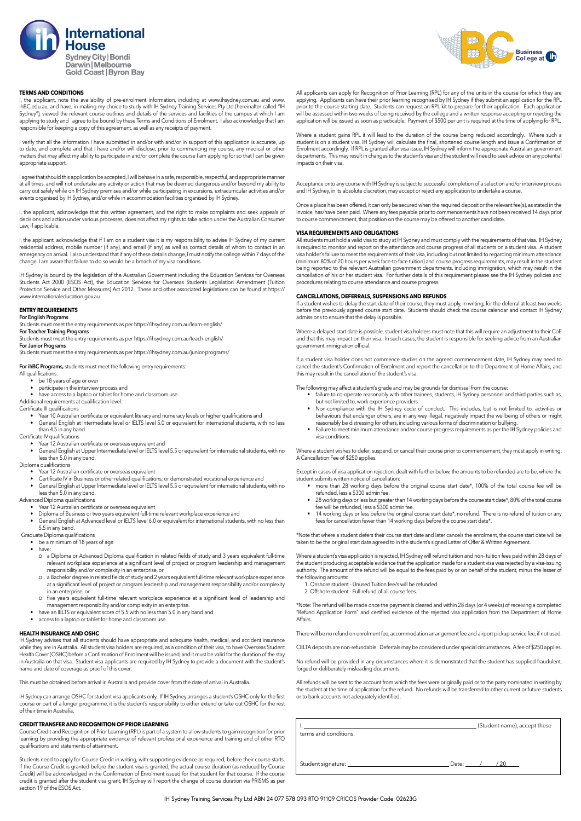

# **TERMS AND CONDITIONS**

I, the applicant, note the availability of pre-enrolment information, including at www.ihsydney.com.au and www. ihBC.edu.au, and have, in making my choice to study with IH Sydney Training Services Pty Ltd (hereinafter called "IH Sydney"), viewed the relevant course outlines and details of the services and facilities of the campus at which I am<br>applying to study and agree to be bound by these Terms and Conditions of Enrolment. I also acknowledge t responsible for keeping a copy of this agreement, as well as any receipts of payment.

I verify that all the information I have submitted in and/or with and/or in support of this application is accurate, up to date, and complete and that I have and/or will disclose, prior to commencing my course, any medical or other<br>matters that may affect my ability to participate in and/or complete the course I am applying for so that I ca appropriate support.

I agree that should this application be accepted, I will behave in a safe, responsible, respectful, and appropriate manner at all times, and will not undertake any activity or action that may be deemed dangerous and/or beyond my ability to<br>carry out safely while on IH Sydney premises and/or while participating in excursions, extracurricular ac events organised by IH Sydney, and/or while in accommodation facilities organised by IH Sydney.

I, the applicant, acknowledge that this written agreement, and the right to make complaints and seek appeals of decisions and action under various processes, does not affect my rights to take action under the Australian Consumer Law, if applicable.

I, the applicant, acknowledge that if I am on a student visa it is my responsibility to advise IH Sydney of my current residential address, mobile number (if any), and email (if any) as well as contact details of whom to contact in an emergency on arrival. I also understand that if any of these details change, I must notify the college within 7 days of the change. I am aware that failure to do so would be a breach of my visa conditions.

IH Sydney is bound by the legislation of the Australian Government including the Education Services for Overseas Students Act 2000 (ESOS Act), the Education Services for Overseas Students Legislation Amendment (Tuition Protection Service and Other Measures) Act 2012. These and other associated legislations can be found at https:// www.internationaleducation.gov.au

### **ENTRY REQUIREMENTS**

### **For English Programs**

Students must meet the entry requirements as per https://ihsydney.com.au/learn-english/

**For Teacher Training Programs**

Students must meet the entry requirements as per https://ihsydney.com.au/teach-english/ **For Junior Programs**

Students must meet the entry requirements as per https://ihsydney.com.au/junior-programs/

**For ihBC Programs,** students must meet the following entry requirements:

- All qualifications:
	- be 18 years of age or over
- participate in the interview process and have access to a laptop or tablet for home and classroom use.
- Additional requirements at qualification level:
- Certificate III qualifications
	- Year 10 Australian certificate or equivalent literacy and numeracy levels or higher qualifications and
	- General English at Intermediate level or IELTS level 5.0 or equivalent for international students, with no less than 4.5 in any band.
- Certificate IV qualifications
	- Year 12 Australian certificate or overseas equivalent and
	- General English at Upper Intermediate level or IELTS level 5.5 or equivalent for international students, with no less than 5.0 in any band.

Diploma qualifications

- Year 12 Australian certificate or overseas equivalent
- Certificate IV in Business or other related qualifications; or demonstrated vocational experience and
- General English at Upper Intermediate level or IELTS level 5.5 or equivalent for international students, with no less than 5.0 in any band.

Advanced Diploma qualifications • Year 12 Australian certificate or overseas equivalent

- Diploma of Business or two years equivalent full-time relevant workplace experience and
- General English at Advanced level or IELTS level 6.0 or equivalent for international students, with no less than 5.5 in any band.
- Graduate Diploma qualifications

be a minimum of 18 years of age

have:

- o a Diploma or Advanced Diploma qualification in related fields of study and 3 years equivalent full-time relevant workplace experience at a significant level of project or program leadership and management
- responsibility and/or complexity in an enterprise, or Ɖ a Bachelor degree in related fields of study and 2 years equivalent full-time relevant workplace experience at a significant level of project or program leadership and management responsibility and/or complexity
- in an enterprise, or Ɖ five years equivalent full-time relevant workplace experience at a significant level of leadership and
- management responsibility and/or complexity in an enterprise.
- have an IELTS or equivalent score of 5.5 with no less than 5.0 in any band and
- access to a laptop or tablet for home and classroom use.

# **HEALTH INSURANCE AND OSHC**

IH Sydney advises that all students should have appropriate and adequate health, medical, and accident insurance while they are in Australia. All student visa holders are required, as a condition of their visa, to have Overseas Student<br>Health Cover (OSHC) before a Confirmation of Enrolment will be issued, and it must be valid for the in Australia on that visa. Student visa applicants are required by IH Sydney to provide a document with the student's name and date of coverage as proof of this cover.

This must be obtained before arrival in Australia and provide cover from the date of arrival in Australia.

IH Sydney can arrange OSHC tor student visa applicants only. If IH Sydney arranges a student's OSHC only for the first<br>course or part of a longer programme, it is the student's responsibility to either extend or take out O of their time in Australia.

# **CREDIT TRANSFER AND RECOGNITION OF PRIOR LEARNING**

Course Credit and Recognition of Prior Learning (RPL) is part of a system to allow students to gain recognition for prior<br>learning by providing the appropriate evidence of relevant professional experience and training and qualifications and statements of attainment.

Students need to apply for Course Credit in writing, with supporting evidence as required, before their course starts. If the Course Credit is granted before the student visa is granted, the actual course duration (as reduced by Course Credit) will be acknowledged in the Confirmation of Enrolment issued for that student for that course. If the course credit is granted after the student visa grant, IH Sydney will report the change of course duration via PRISMS as per section 19 of the ESOS Act.



All applicants can apply for Recognition of Prior Learning (RPL) for any of the units in the course for which they are applying. Applicants can have their prior learning recognised by IH Sydney it they submit an application for the RPL<br>prior to the course starting date. Students can request an RPL kit to prepare for their application. Ea will be assessed within two weeks of being received by the college and a written response accepting or rejecting the<br>application will be issued as soon as practicable. Payment of \$500 per unit is required at the time of ap

Where a student gains RPL it will lead to the duration of the course being reduced accordingly. Where such a student is on a student visa, IH Sydney will calculate the final, shortened course length and issue a Confirmation of Enrolment accordingly. If RPL is granted after visa issue, IH Sydney will inform the appropriate Australian government<br>departments. This may result in changes to the student's visa and the student will need to seek advice impacts on their visa.

Acceptance onto any course with IH Sydney is subject to successful completion of a selection and/or interview process and IH Sydney, in its absolute discretion, may accept or reject any application to undertake a course

Once a place has been offered, it can only be secured when the required deposit or the relevant fee(s), as stated in the invoice, has/have been paid. Where any fees payable prior to commencements have not been received 14 days prior to course commencement, that position on the course may be offered to another candidate.

## **VISA REQUIREMENTS AND OBLIGATIONS**

All students must hold a valid visa to study at IH Sydney and must comply with the requirements of that visa. IH Sydney is required to monitor and report on the attendance and course progress of all students on a student visa. A student<br>visa holder's failure to meet the requirements of their visa, including but not limited to regarding mini (minimum 80% of 20 hours per week face-to-face tuition) and course progress requirements, may result in the student<br>being reported to the relevant Australian government departments, including immigration, which may result cancellation of his or her student visa. For further details of this requirement please see the IH Sydney policies and procedures relating to course attendance and course progress.

## **CANCELLATIONS, DEFERRALS, SUSPENSIONS AND REFUNDS**

It a student wishes to delay the start date of their course, they must apply, in writing, for the deferral at least two weeks<br>before the previously agreed course start date. Students should check the course calendar and c admissions to ensure that the delay is possible.

Where a delayed start date is possible, student visa holders must note that this will require an adjustment to their CoE and that this may impact on their visa. In such cases, the student is responsible for seeking advice from an Australian government immigration official.

If a student visa holder does not commence studies on the agreed commencement date, IH Sydney may need to cancel the student's Confirmation of Enrolment and report the cancellation to the Department of Home Affairs, and this may result in the cancellation of the student's visa.

The following may affect a student's grade and may be grounds for dismissal from the course:

- failure to co-operate reasonably with other trainees, students, IH Sydney personnel and third parties such as, but not limited to, work experience providers.
- Non-compliance with the IH Sydney code of conduct. This includes, but is not limited to, activities or behaviours that endanger others, are in any way illegal, negatively impact the wellbeing of others or might reasonably be distressing for others, including various forms of discrimination or bullying.
- Failure to meet minimum attendance and/or course progress requirements as per the IH Sydney policies and visa conditions.

Where a student wishes to defer, suspend, or cancel their course prior to commencement, they must apply in writing. A Cancellation Fee of \$250 applies.

Except in cases of visa application rejection, dealt with further below, the amounts to be refunded are to be, where the student submits written notice of cancellation:

- more than 28 working days before the original course start date\*, 100% of the total course fee will be refunded, less a \$300 admin fee.
- 28 working days or less but greater than 14 working days before the course start date\*, 80% of the total course fee will be refunded, less a \$300 admin fee.
- 14 working days or less before the original course start date\*, no refund. There is no refund of tuition or any fees for cancellation fewer than 14 working days before the course start date\*.

\*Note that where a student defers their course start date and later cancels the enrolment, the course start date will be<br>taken to be the original start date agreed to in the student's signed Letter of Offer & Written Agree

Where a student's visa application is rejected, IH Sydney will refund tuition and non- tuition fees paid within 28 days of the student producing acceptable evidence that the application made for a student visa was rejected by a visa-issuing<br>authority. The amount of the refund will be equal to the fees paid by or on behalf of the student, minus the following amounts:

1. Onshore student - Unused Tuition fee/s will be refunded

2. Offshore student - Full refund of all course fees.

\*Note: The refund will be made once the payment is cleared and within 28 days (or 4 weeks) of receiving a completed "Refund Application Form" and certified evidence of the rejected visa application from the Department of Home Affairs.

There will be no refund on enrolment fee, accommodation arrangement fee and airport pickup service fee, if not used.

CELTA deposits are non-refundable. Deferrals may be considered under special circumstances. A fee of \$250 applies.

No refund will be provided in any circumstances where it is demonstrated that the student has supplied fraudulent, forged or deliberately misleading documents.

All refunds will be sent to the account from which the fees were originally paid or to the party nominated in writing by the student at the time of application for the refund. No refunds will be transferred to other current or future students or to bank accounts not adequately identified.

| terms and conditions. | (Student name), accept these |
|-----------------------|------------------------------|
|                       | Date: / / 20                 |